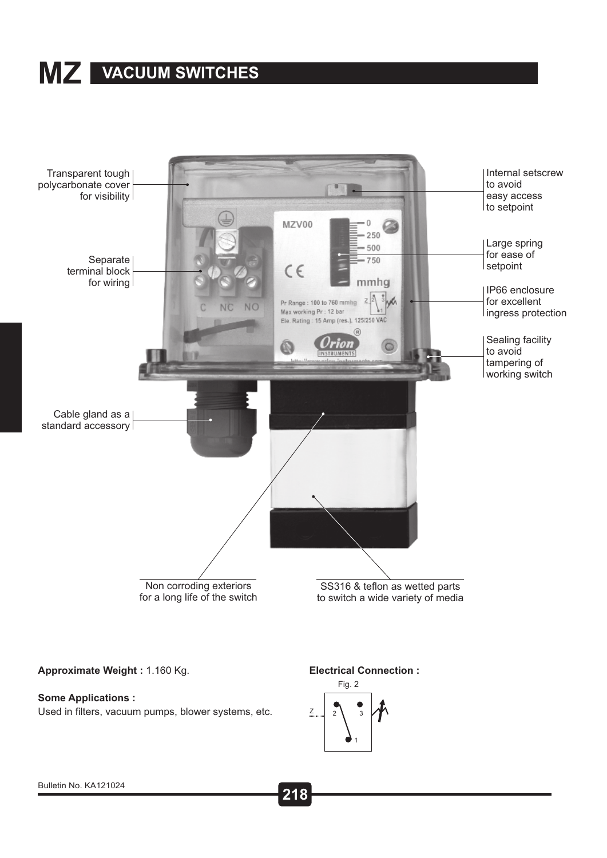## **VACUUM SWITCHES MZ**



**Approximate Weight :** 1.160 Kg.

#### **Some Applications :**

Used in filters, vacuum pumps, blower systems, etc.

#### **Electrical Connection :**

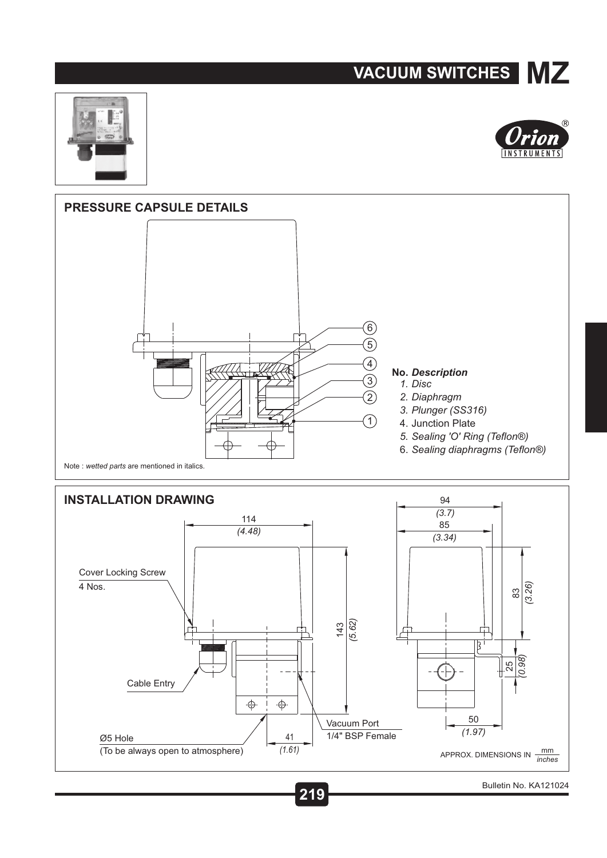### **VACUUM SWITCHES MZ**









**219 Figure 219 500 <b>500 500 500 500 500 500 500 500 500 500 500 500 500 500 500 500 500** Bulletin No. KA121024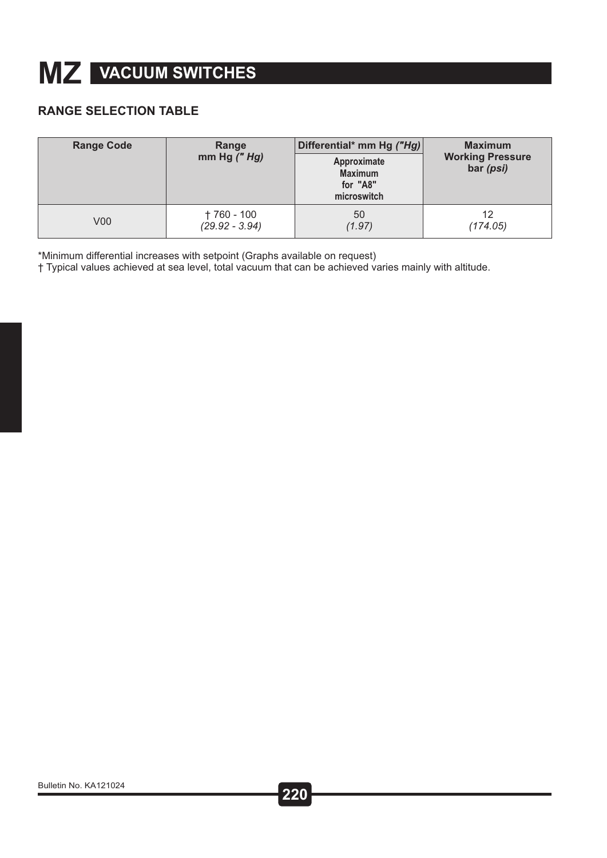# **VACUUM SWITCHES MZ**

### **RANGE SELECTION TABLE**

| <b>Range Code</b> | Range<br>mm Hg $('''$ Hg) | Differential* mm Hg ("Hg)<br>Approximate<br><b>Maximum</b><br>for "A8"<br>microswitch | <b>Maximum</b><br><b>Working Pressure</b><br>bar (psi) |  |
|-------------------|---------------------------|---------------------------------------------------------------------------------------|--------------------------------------------------------|--|
| V <sub>00</sub>   | † 760 - 100               | 50                                                                                    | 12                                                     |  |
|                   | $(29.92 - 3.94)$          | (1.97)                                                                                | (174.05)                                               |  |

\*Minimum differential increases with setpoint (Graphs available on request)

† Typical values achieved at sea level, total vacuum that can be achieved varies mainly with altitude.